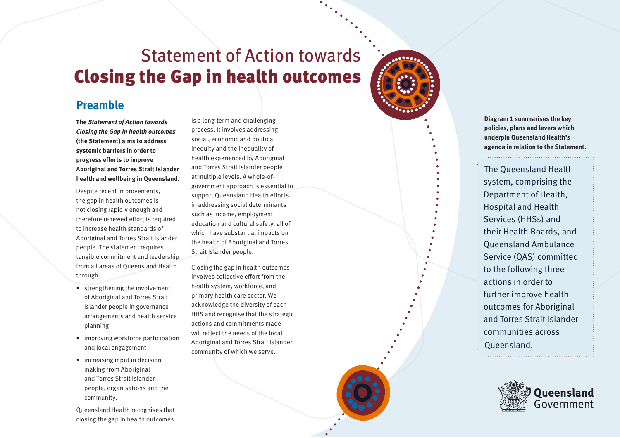## Statement of Action towards Closing the Gap in health outcomes

### **Preamble**

**The Statement of Action towards Closing the Gap in health outcomes (the Statement) aims to address systemic barriers in order to progress efforts to improve Aboriginal and Torres Strait Islander health and wellbeing in Queensland.** 

Despite recent improvements, the gap in health outcomes is not closing rapidly enough and therefore renewed effort is required to increase health standards of Aboriginal and Torres Strait Islander people. The statement requires tangible commitment and leadership from all areas of Queensland Health through:

- strengthening the involvement of Aboriginal and Torres Strait Islander people in governance arrangements and health service planning
- improving workforce participation and local engagement
- increasing input in decision making from Aboriginal and Torres Strait Islander people, organisations and the community.

Queensland Health recognises that closing the gap in health outcomes

is a long-term and challenging process. It involves addressing social, economic and political inequity and the inequality of health experienced by Aboriginal and Torres Strait Islander people at multiple levels. A whole-ofgovernment approach is essential to support Queensland Health efforts in addressing social determinants such as income, employment, education and cultural safety, all of which have substantial impacts on the health of Aboriginal and Torres Strait Islander people.

Closing the gap in health outcomes involves collective effort from the health system, workforce, and primary health care sector. We acknowledge the diversity of each HHS and recognise that the strategic actions and commitments made will reflect the needs of the local Aboriginal and Torres Strait Islander community of which we serve.



**Diagram 1 summarises the key policies, plans and levers which underpin Queensland Health's agenda in relation to the Statement.**

The Queensland Health system, comprising the Department of Health, Hospital and Health Services (HHSs) and their Health Boards, and Queensland Ambulance Service (QAS) committed to the following three actions in order to further improve health outcomes for Aboriginal and Torres Strait Islander communities across Queensland.

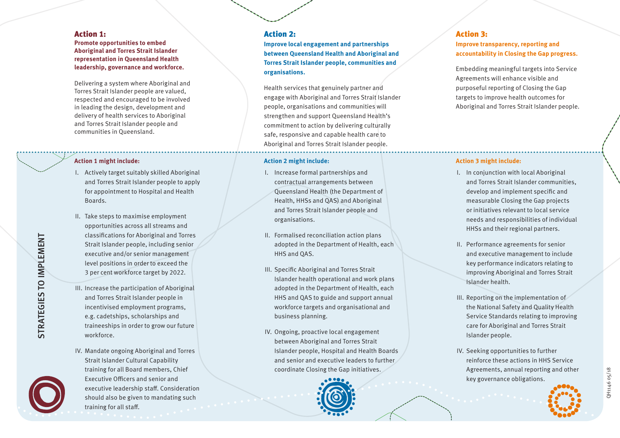#### Action 1:

**Promote opportunities to embed Aboriginal and Torres Strait Islander representation in Queensland Health leadership, governance and workforce.**

Delivering a system where Aboriginal and Torres Strait Islander people are valued, respected and encouraged to be involved in leading the design, development and delivery of health services to Aboriginal and Torres Strait Islander people and communities in Queensland.

#### **Action 1 might include:**

- I. Actively target suitably skilled Aboriginal and Torres Strait Islander people to apply for appointment to Hospital and Health Boards.
- II. Take steps to maximise employment opportunities across all streams and classifications for Aboriginal and Torres Strait Islander people, including senior executive and/or senior management level positions in order to exceed the 3 per cent workforce target by 2022.
- III. Increase the participation of Aboriginal and Torres Strait Islander people in incentivised employment programs, e.g. cadetships, scholarships and traineeships in order to grow our future workforce.
- IV. Mandate ongoing Aboriginal and Torres Strait Islander Cultural Capability training for all Board members, Chief Executive Officers and senior and executive leadership staff. Consideration should also be given to mandating such training for all staff.

#### Action 2:

**Improve local engagement and partnerships between Queensland Health and Aboriginal and Torres Strait Islander people, communities and organisations.** 

Health services that genuinely partner and engage with Aboriginal and Torres Strait Islander people, organisations and communities will strengthen and support Queensland Health's commitment to action by delivering culturally safe, responsive and capable health care to Aboriginal and Torres Strait Islander people.

#### **Action 2 might include:**

- I. Increase formal partnerships and contractual arrangements between Queensland Health (the Department of Health, HHSs and QAS) and Aboriginal and Torres Strait Islander people and organisations.
- II. Formalised reconciliation action plans adopted in the Department of Health, each HHS and QAS.
- III. Specific Aboriginal and Torres Strait Islander health operational and work plans adopted in the Department of Health, each HHS and QAS to guide and support annual workforce targets and organisational and business planning.
- IV. Ongoing, proactive local engagement between Aboriginal and Torres Strait Islander people, Hospital and Health Boards and senior and executive leaders to further coordinate Closing the Gap initiatives.



#### Action 3: **Improve transparency, reporting and accountability in Closing the Gap progress.**

Embedding meaningful targets into Service Agreements will enhance visible and purposeful reporting of Closing the Gap targets to improve health outcomes for Aboriginal and Torres Strait Islander people.

#### **Action 3 might include:**

- I. In conjunction with local Aboriginal and Torres Strait Islander communities, develop and implement specific and measurable Closing the Gap projects or initiatives relevant to local service needs and responsibilities of individual HHSs and their regional partners.
- II. Performance agreements for senior and executive management to include key performance indicators relating to improving Aboriginal and Torres Strait Islander health.
- III. Reporting on the implementation of the National Safety and Quality Health Service Standards relating to improving care for Aboriginal and Torres Strait Islander people.
- IV. Seeking opportunities to further reinforce these actions in HHS Service Agreements, annual reporting and other key governance obligations.



QH1146 05/18

2H1146 05/18